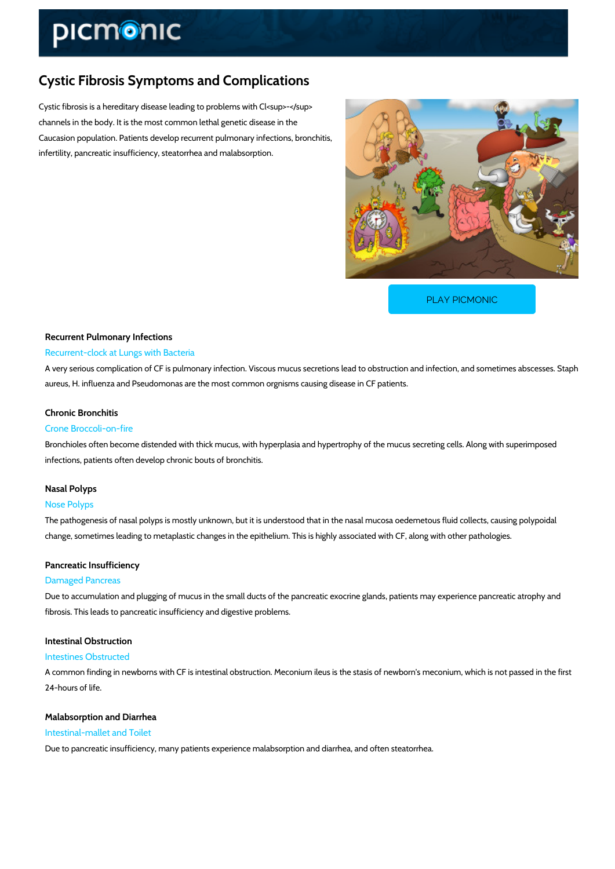# Cystic Fibrosis Symptoms and Complications

Cystic fibrosis is a hereditary disease leading to problems with Cl<sup>-</sup> channels in the body. It is the most common lethal genetic disease in the Caucasion population. Patients develop recurrent pulmonary infections, bronchitis, infertility, pancreatic insufficiency, steatorrhea and malabsorption.

[PLAY PICMONIC](https://www.picmonic.com/learn/cystic-fibrosis-symptoms-and-complications_1369?utm_source=downloadable_content&utm_medium=distributedcontent&utm_campaign=pathways_pdf&utm_content=Cystic Fibrosis Symptoms and Complications&utm_ad_group=leads&utm_market=all)

# Recurrent Pulmonary Infections Recurrent-clock at Lungs with Bacteria

A very serious complication of CF is pulmonary infection. Viscous mucus secretions lead to ob aureus, H. influenza and Pseudomonas are the most common orgnisms causing disease in CF patients.

#### Chronic Bronchitis

#### Crone Broccoli-on-fire

Bronchioles often become distended with thick mucus, with hyperplasia and hypertrophy of the infections, patients often develop chronic bouts of bronchitis.

#### Nasal Polyps

#### Nose Polyps

The pathogenesis of nasal polyps is mostly unknown, but it is understood that in the nasal mu change, sometimes leading to metaplastic changes in the epithelium. This is highly associated

#### Pancreatic Insufficiency

#### Damaged Pancreas

Due to accumulation and plugging of mucus in the small ducts of the pancreatic exocrine glan fibrosis. This leads to pancreatic insufficiency and digestive problems.

# Intestinal Obstruction

#### Intestines Obstructed

A common finding in newborns with CF is intestinal obstruction. Meconium ileus is the stasis 24-hours of life.

## Malabsorption and Diarrhea Intestinal-mallet and Toilet

Due to pancreatic insufficiency, many patients experience malabsorption and diarrhea, and of